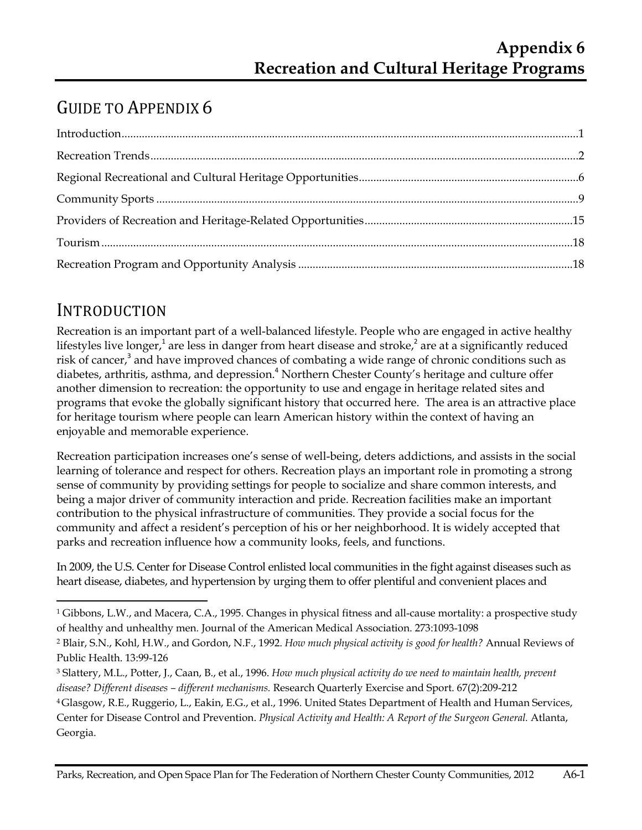# GUIDE TO APPENDIX 6

### INTRODUCTION

Recreation is an important part of a well-balanced lifestyle. People who are engaged in active healthy lifestyles live longer,<sup>1</sup> are less in danger from heart disease and stroke,<sup>2</sup> are at a significantly reduced risk of cancer,<sup>3</sup> and have improved chances of combating a wide range of chronic conditions such as diabetes, arthritis, asthma, and depression.<sup>4</sup> Northern Chester County's heritage and culture offer another dimension to recreation: the opportunity to use and engage in heritage related sites and programs that evoke the globally significant history that occurred here. The area is an attractive place for heritage tourism where people can learn American history within the context of having an enjoyable and memorable experience.

Recreation participation increases one's sense of well-being, deters addictions, and assists in the social learning of tolerance and respect for others. Recreation plays an important role in promoting a strong sense of community by providing settings for people to socialize and share common interests, and being a major driver of community interaction and pride. Recreation facilities make an important contribution to the physical infrastructure of communities. They provide a social focus for the community and affect a resident's perception of his or her neighborhood. It is widely accepted that parks and recreation influence how a community looks, feels, and functions.

In 2009, the U.S. Center for Disease Control enlisted local communities in the fight against diseases such as heart disease, diabetes, and hypertension by urging them to offer plentiful and convenient places and

3 Slattery, M.L., Potter, J., Caan, B., et al., 1996. *How much physical activity do we need to maintain health, prevent disease? Different diseases – different mechanisms.* Research Quarterly Exercise and Sport. 67(2):209-212

4 Glasgow, R.E., Ruggerio, L., Eakin, E.G., et al., 1996. United States Department of Health and Human Services, Center for Disease Control and Prevention. *Physical Activity and Health: A Report of the Surgeon General.* Atlanta, Georgia.

Parks, Recreation, and Open Space Plan for The Federation of Northern Chester County Communities, 2012 A6-1

<sup>1</sup> Gibbons, L.W., and Macera, C.A., 1995. Changes in physical fitness and all-cause mortality: a prospective study of healthy and unhealthy men*.* Journal of the American Medical Association. 273:1093-1098

<sup>2</sup> Blair, S.N., Kohl, H.W., and Gordon, N.F., 1992. *How much physical activity is good for health?* Annual Reviews of Public Health. 13:99-126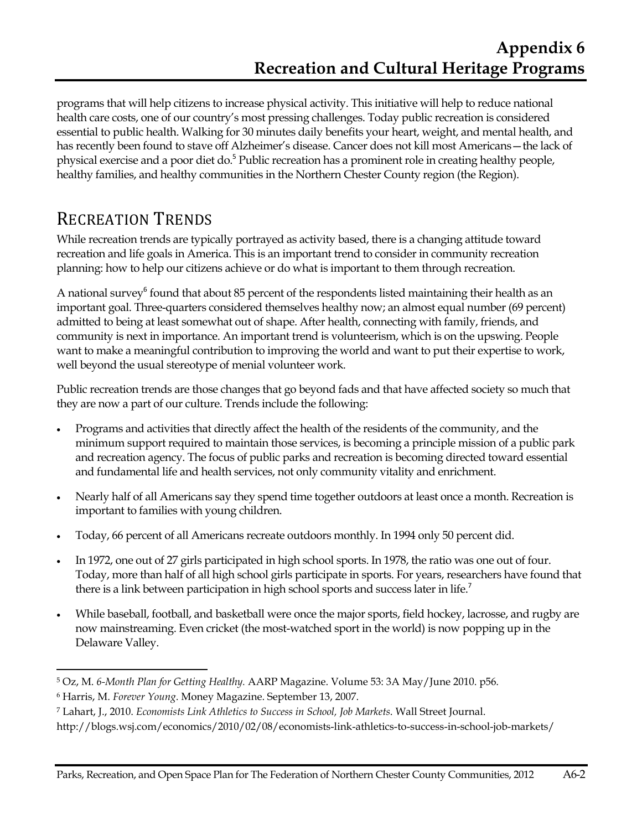programs that will help citizens to increase physical activity. This initiative will help to reduce national health care costs, one of our country's most pressing challenges. Today public recreation is considered essential to public health. Walking for 30 minutes daily benefits your heart, weight, and mental health, and has recently been found to stave off Alzheimer's disease. Cancer does not kill most Americans—the lack of physical exercise and a poor diet do.<sup>5</sup> Public recreation has a prominent role in creating healthy people, healthy families, and healthy communities in the Northern Chester County region (the Region).

### RECREATION TRENDS

While recreation trends are typically portrayed as activity based, there is a changing attitude toward recreation and life goals in America. This is an important trend to consider in community recreation planning: how to help our citizens achieve or do what is important to them through recreation.

A national survey<sup>6</sup> found that about 85 percent of the respondents listed maintaining their health as an important goal. Three-quarters considered themselves healthy now; an almost equal number (69 percent) admitted to being at least somewhat out of shape. After health, connecting with family, friends, and community is next in importance. An important trend is volunteerism, which is on the upswing. People want to make a meaningful contribution to improving the world and want to put their expertise to work, well beyond the usual stereotype of menial volunteer work.

Public recreation trends are those changes that go beyond fads and that have affected society so much that they are now a part of our culture. Trends include the following:

- Programs and activities that directly affect the health of the residents of the community, and the minimum support required to maintain those services, is becoming a principle mission of a public park and recreation agency. The focus of public parks and recreation is becoming directed toward essential and fundamental life and health services, not only community vitality and enrichment.
- Nearly half of all Americans say they spend time together outdoors at least once a month. Recreation is important to families with young children.
- Today, 66 percent of all Americans recreate outdoors monthly. In 1994 only 50 percent did.
- In 1972, one out of 27 girls participated in high school sports. In 1978, the ratio was one out of four. Today, more than half of all high school girls participate in sports. For years, researchers have found that there is a link between participation in high school sports and success later in life.<sup>7</sup>
- While baseball, football, and basketball were once the major sports, field hockey, lacrosse, and rugby are now mainstreaming. Even cricket (the most-watched sport in the world) is now popping up in the Delaware Valley.

<sup>5</sup> Oz, M. *6-Month Plan for Getting Healthy.* AARP Magazine. Volume 53: 3A May/June 2010. p56.

<sup>6</sup> Harris, M. *Forever Young*. Money Magazine. September 13, 2007.

<sup>7</sup> Lahart, J., 2010. *Economists Link Athletics to Success in School, Job Markets*. Wall Street Journal.

http://blogs.wsj.com/economics/2010/02/08/economists-link-athletics-to-success-in-school-job-markets/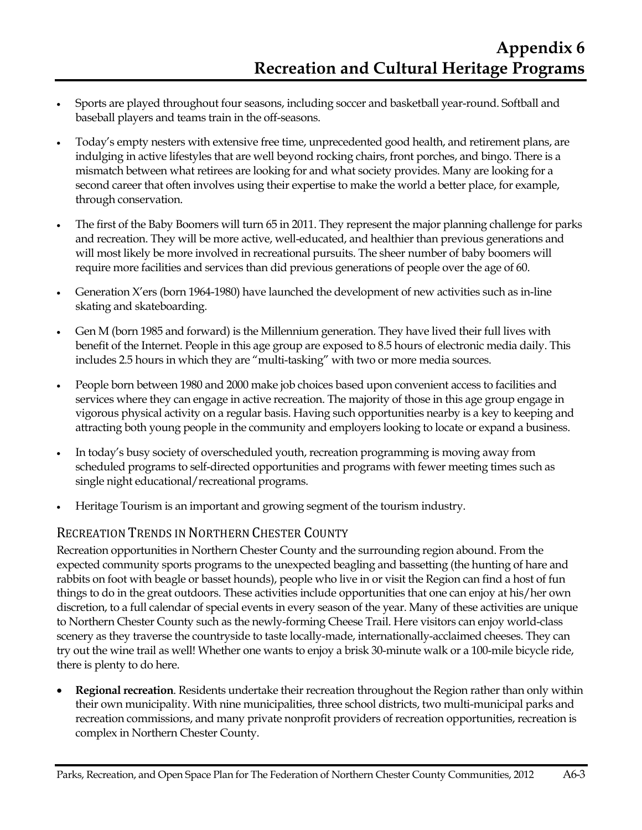- Sports are played throughout four seasons, including soccer and basketball year-round. Softball and baseball players and teams train in the off-seasons.
- Today's empty nesters with extensive free time, unprecedented good health, and retirement plans, are indulging in active lifestyles that are well beyond rocking chairs, front porches, and bingo. There is a mismatch between what retirees are looking for and what society provides. Many are looking for a second career that often involves using their expertise to make the world a better place, for example, through conservation.
- The first of the Baby Boomers will turn 65 in 2011. They represent the major planning challenge for parks and recreation. They will be more active, well-educated, and healthier than previous generations and will most likely be more involved in recreational pursuits. The sheer number of baby boomers will require more facilities and services than did previous generations of people over the age of 60.
- Generation X'ers (born 1964-1980) have launched the development of new activities such as in-line skating and skateboarding.
- Gen M (born 1985 and forward) is the Millennium generation. They have lived their full lives with benefit of the Internet. People in this age group are exposed to 8.5 hours of electronic media daily. This includes 2.5 hours in which they are "multi-tasking" with two or more media sources.
- People born between 1980 and 2000 make job choices based upon convenient access to facilities and services where they can engage in active recreation. The majority of those in this age group engage in vigorous physical activity on a regular basis. Having such opportunities nearby is a key to keeping and attracting both young people in the community and employers looking to locate or expand a business.
- In today's busy society of overscheduled youth, recreation programming is moving away from scheduled programs to self-directed opportunities and programs with fewer meeting times such as single night educational/recreational programs.
- Heritage Tourism is an important and growing segment of the tourism industry.

#### RECREATION TRENDS IN NORTHERN CHESTER COUNTY

Recreation opportunities in Northern Chester County and the surrounding region abound. From the expected community sports programs to the unexpected beagling and bassetting (the hunting of hare and rabbits on foot with beagle or basset hounds), people who live in or visit the Region can find a host of fun things to do in the great outdoors. These activities include opportunities that one can enjoy at his/her own discretion, to a full calendar of special events in every season of the year. Many of these activities are unique to Northern Chester County such as the newly-forming Cheese Trail. Here visitors can enjoy world-class scenery as they traverse the countryside to taste locally-made, internationally-acclaimed cheeses. They can try out the wine trail as well! Whether one wants to enjoy a brisk 30-minute walk or a 100-mile bicycle ride, there is plenty to do here.

• **Regional recreation**. Residents undertake their recreation throughout the Region rather than only within their own municipality. With nine municipalities, three school districts, two multi-municipal parks and recreation commissions, and many private nonprofit providers of recreation opportunities, recreation is complex in Northern Chester County.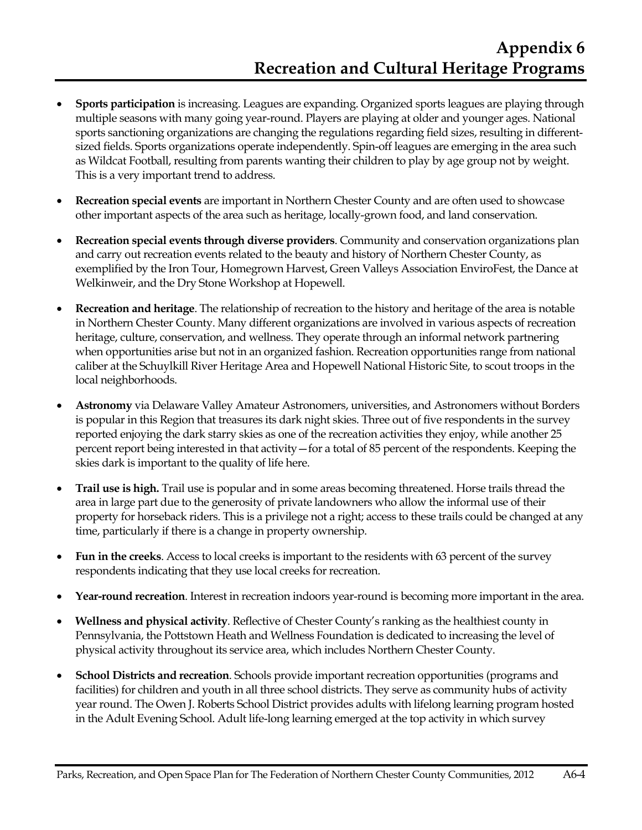- **Sports participation** is increasing. Leagues are expanding. Organized sports leagues are playing through multiple seasons with many going year-round. Players are playing at older and younger ages. National sports sanctioning organizations are changing the regulations regarding field sizes, resulting in differentsized fields. Sports organizations operate independently. Spin-off leagues are emerging in the area such as Wildcat Football, resulting from parents wanting their children to play by age group not by weight. This is a very important trend to address.
- **Recreation special events** are important in Northern Chester County and are often used to showcase other important aspects of the area such as heritage, locally-grown food, and land conservation.
- **Recreation special events through diverse providers**. Community and conservation organizations plan and carry out recreation events related to the beauty and history of Northern Chester County, as exemplified by the Iron Tour, Homegrown Harvest, Green Valleys Association EnviroFest, the Dance at Welkinweir, and the Dry Stone Workshop at Hopewell.
- **Recreation and heritage**. The relationship of recreation to the history and heritage of the area is notable in Northern Chester County. Many different organizations are involved in various aspects of recreation heritage, culture, conservation, and wellness. They operate through an informal network partnering when opportunities arise but not in an organized fashion. Recreation opportunities range from national caliber at the Schuylkill River Heritage Area and Hopewell National Historic Site, to scout troops in the local neighborhoods.
- **Astronomy** via Delaware Valley Amateur Astronomers, universities, and Astronomers without Borders is popular in this Region that treasures its dark night skies. Three out of five respondents in the survey reported enjoying the dark starry skies as one of the recreation activities they enjoy, while another 25 percent report being interested in that activity—for a total of 85 percent of the respondents. Keeping the skies dark is important to the quality of life here.
- **Trail use is high.** Trail use is popular and in some areas becoming threatened. Horse trails thread the area in large part due to the generosity of private landowners who allow the informal use of their property for horseback riders. This is a privilege not a right; access to these trails could be changed at any time, particularly if there is a change in property ownership.
- **Fun in the creeks**. Access to local creeks is important to the residents with 63 percent of the survey respondents indicating that they use local creeks for recreation.
- **Year-round recreation**. Interest in recreation indoors year-round is becoming more important in the area.
- **Wellness and physical activity**. Reflective of Chester County's ranking as the healthiest county in Pennsylvania, the Pottstown Heath and Wellness Foundation is dedicated to increasing the level of physical activity throughout its service area, which includes Northern Chester County.
- **School Districts and recreation**. Schools provide important recreation opportunities (programs and facilities) for children and youth in all three school districts. They serve as community hubs of activity year round. The Owen J. Roberts School District provides adults with lifelong learning program hosted in the Adult Evening School. Adult life-long learning emerged at the top activity in which survey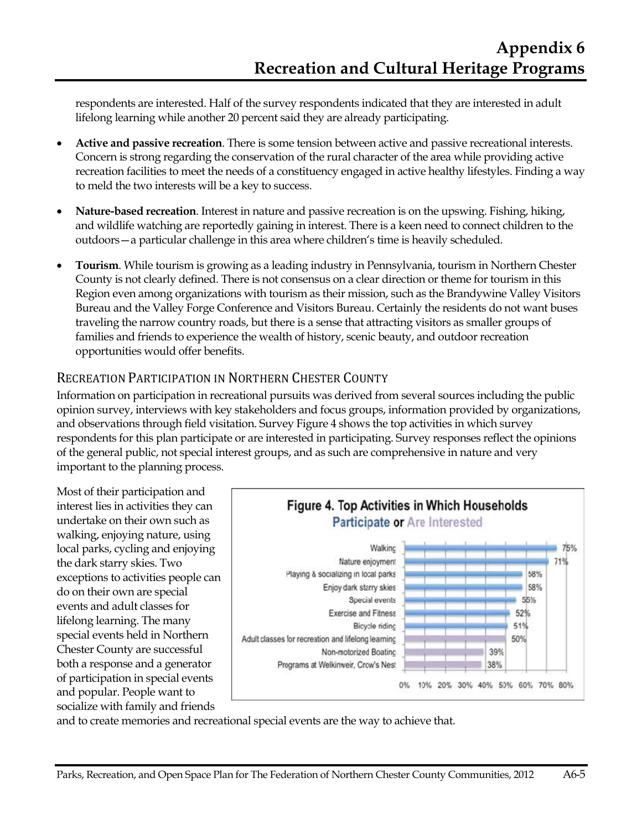respondents are interested. Half of the survey respondents indicated that they are interested in adult lifelong learning while another 20 percent said they are already participating.

- **Active and passive recreation**. There is some tension between active and passive recreational interests. Concern is strong regarding the conservation of the rural character of the area while providing active recreation facilities to meet the needs of a constituency engaged in active healthy lifestyles. Finding a way to meld the two interests will be a key to success.
- **Nature-based recreation**. Interest in nature and passive recreation is on the upswing. Fishing, hiking, and wildlife watching are reportedly gaining in interest. There is a keen need to connect children to the outdoors—a particular challenge in this area where children's time is heavily scheduled.
- **Tourism**. While tourism is growing as a leading industry in Pennsylvania, tourism in Northern Chester County is not clearly defined. There is not consensus on a clear direction or theme for tourism in this Region even among organizations with tourism as their mission, such as the Brandywine Valley Visitors Bureau and the Valley Forge Conference and Visitors Bureau. Certainly the residents do not want buses traveling the narrow country roads, but there is a sense that attracting visitors as smaller groups of families and friends to experience the wealth of history, scenic beauty, and outdoor recreation opportunities would offer benefits.

#### RECREATION PARTICIPATION IN NORTHERN CHESTER COUNTY

Information on participation in recreational pursuits was derived from several sources including the public opinion survey, interviews with key stakeholders and focus groups, information provided by organizations, and observations through field visitation. Survey Figure 4 shows the top activities in which survey respondents for this plan participate or are interested in participating. Survey responses reflect the opinions of the general public, not special interest groups, and as such are comprehensive in nature and very important to the planning process.

Most of their participation and interest lies in activities they can undertake on their own such as walking, enjoying nature, using local parks, cycling and enjoying the dark starry skies. Two exceptions to activities people can do on their own are special events and adult classes for lifelong learning. The many special events held in Northern Chester County are successful both a response and a generator of participation in special events and popular. People want to socialize with family and friends



and to create memories and recreational special events are the way to achieve that.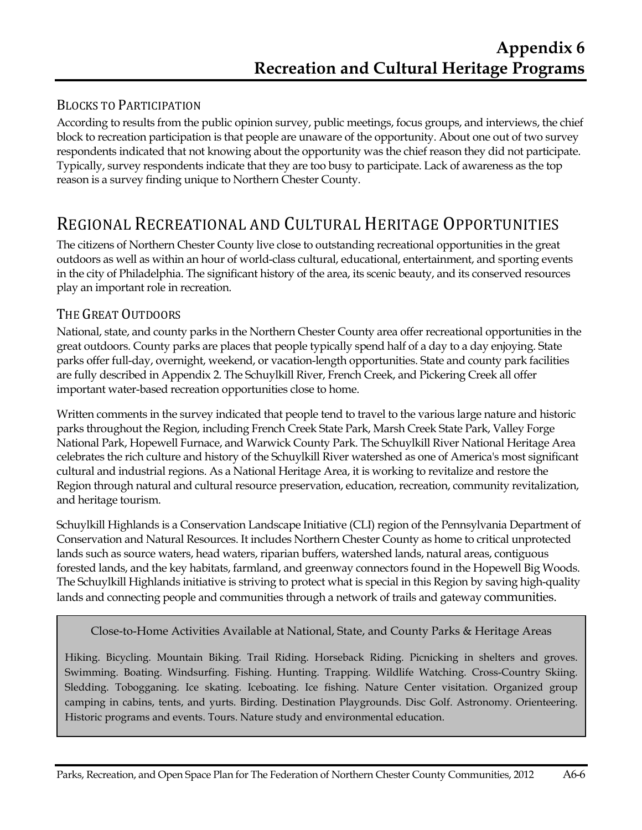#### BLOCKS TO PARTICIPATION

According to results from the public opinion survey, public meetings, focus groups, and interviews, the chief block to recreation participation is that people are unaware of the opportunity. About one out of two survey respondents indicated that not knowing about the opportunity was the chief reason they did not participate. Typically, survey respondents indicate that they are too busy to participate. Lack of awareness as the top reason is a survey finding unique to Northern Chester County.

### REGIONAL RECREATIONAL AND CULTURAL HERITAGE OPPORTUNITIES

The citizens of Northern Chester County live close to outstanding recreational opportunities in the great outdoors as well as within an hour of world-class cultural, educational, entertainment, and sporting events in the city of Philadelphia. The significant history of the area, its scenic beauty, and its conserved resources play an important role in recreation.

#### THE GREAT OUTDOORS

National, state, and county parks in the Northern Chester County area offer recreational opportunities in the great outdoors. County parks are places that people typically spend half of a day to a day enjoying. State parks offer full-day, overnight, weekend, or vacation-length opportunities. State and county park facilities are fully described in Appendix 2. The Schuylkill River, French Creek, and Pickering Creek all offer important water-based recreation opportunities close to home.

Written comments in the survey indicated that people tend to travel to the various large nature and historic parks throughout the Region, including French Creek State Park, Marsh Creek State Park, Valley Forge National Park, Hopewell Furnace, and Warwick County Park. The Schuylkill River National Heritage Area celebrates the rich culture and history of the Schuylkill River watershed as one of America's most significant cultural and industrial regions. As a National Heritage Area, it is working to revitalize and restore the Region through natural and cultural resource preservation, education, recreation, community revitalization, and heritage tourism.

Schuylkill Highlands is a Conservation Landscape Initiative (CLI) region of the Pennsylvania Department of Conservation and Natural Resources. It includes Northern Chester County as home to critical unprotected lands such as source waters, head waters, riparian buffers, watershed lands, natural areas, contiguous forested lands, and the key habitats, farmland, and greenway connectors found in the Hopewell Big Woods. The Schuylkill Highlands initiative is striving to protect what is special in this Region by saving high-quality lands and connecting people and communities through a network of trails and gateway communities.

Close-to-Home Activities Available at National, State, and County Parks & Heritage Areas

Hiking. Bicycling. Mountain Biking. Trail Riding. Horseback Riding. Picnicking in shelters and groves. Swimming. Boating. Windsurfing. Fishing. Hunting. Trapping. Wildlife Watching. Cross-Country Skiing. Sledding. Tobogganing. Ice skating. Iceboating. Ice fishing. Nature Center visitation. Organized group camping in cabins, tents, and yurts. Birding. Destination Playgrounds. Disc Golf. Astronomy. Orienteering. Historic programs and events. Tours. Nature study and environmental education.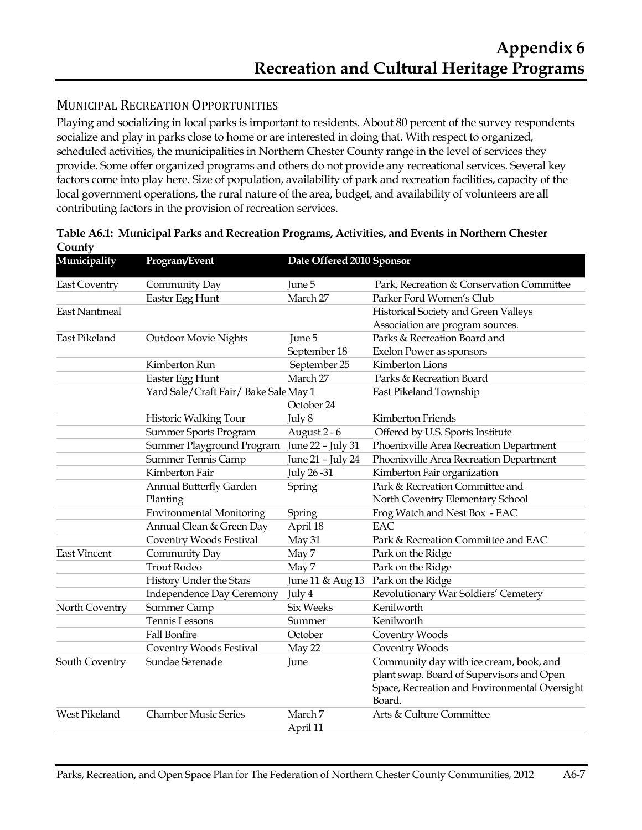#### MUNICIPAL RECREATION OPPORTUNITIES

Playing and socializing in local parks is important to residents. About 80 percent of the survey respondents socialize and play in parks close to home or are interested in doing that. With respect to organized, scheduled activities, the municipalities in Northern Chester County range in the level of services they provide. Some offer organized programs and others do not provide any recreational services. Several key factors come into play here. Size of population, availability of park and recreation facilities, capacity of the local government operations, the rural nature of the area, budget, and availability of volunteers are all contributing factors in the provision of recreation services.

| Municipality         | Program/Event                         | Date Offered 2010 Sponsor |                                               |  |  |  |  |
|----------------------|---------------------------------------|---------------------------|-----------------------------------------------|--|--|--|--|
| <b>East Coventry</b> | Community Day                         | June 5                    | Park, Recreation & Conservation Committee     |  |  |  |  |
|                      | Easter Egg Hunt                       | March 27                  | Parker Ford Women's Club                      |  |  |  |  |
| <b>East Nantmeal</b> |                                       |                           | Historical Society and Green Valleys          |  |  |  |  |
|                      |                                       |                           | Association are program sources.              |  |  |  |  |
| East Pikeland        | <b>Outdoor Movie Nights</b>           | June 5                    | Parks & Recreation Board and                  |  |  |  |  |
|                      |                                       | September 18              | Exelon Power as sponsors                      |  |  |  |  |
|                      | Kimberton Run                         | September 25              | Kimberton Lions                               |  |  |  |  |
|                      | Easter Egg Hunt                       | March 27                  | Parks & Recreation Board                      |  |  |  |  |
|                      | Yard Sale/Craft Fair/ Bake Sale May 1 |                           | East Pikeland Township                        |  |  |  |  |
|                      |                                       | October 24                |                                               |  |  |  |  |
|                      | Historic Walking Tour                 | July 8                    | Kimberton Friends                             |  |  |  |  |
|                      | Summer Sports Program                 | August 2 - 6              | Offered by U.S. Sports Institute              |  |  |  |  |
|                      | Summer Playground Program             | June 22 - July 31         | Phoenixville Area Recreation Department       |  |  |  |  |
|                      | Summer Tennis Camp                    | June 21 - July 24         | Phoenixville Area Recreation Department       |  |  |  |  |
|                      | Kimberton Fair                        | July 26-31                | Kimberton Fair organization                   |  |  |  |  |
|                      | Annual Butterfly Garden               | Spring                    | Park & Recreation Committee and               |  |  |  |  |
|                      | Planting                              |                           | North Coventry Elementary School              |  |  |  |  |
|                      | <b>Environmental Monitoring</b>       | Spring                    | Frog Watch and Nest Box - EAC                 |  |  |  |  |
|                      | Annual Clean & Green Day              | April 18                  | EAC                                           |  |  |  |  |
|                      | Coventry Woods Festival               | May 31                    | Park & Recreation Committee and EAC           |  |  |  |  |
| <b>East Vincent</b>  | Community Day                         | May 7                     | Park on the Ridge                             |  |  |  |  |
|                      | <b>Trout Rodeo</b>                    | May 7                     | Park on the Ridge                             |  |  |  |  |
|                      | History Under the Stars               | June 11 & Aug 13          | Park on the Ridge                             |  |  |  |  |
|                      | <b>Independence Day Ceremony</b>      | July 4                    | Revolutionary War Soldiers' Cemetery          |  |  |  |  |
| North Coventry       | Summer Camp                           | <b>Six Weeks</b>          | Kenilworth                                    |  |  |  |  |
|                      | <b>Tennis Lessons</b>                 | Summer                    | Kenilworth                                    |  |  |  |  |
|                      | <b>Fall Bonfire</b>                   | October                   | Coventry Woods                                |  |  |  |  |
|                      | Coventry Woods Festival               | May 22                    | Coventry Woods                                |  |  |  |  |
| South Coventry       | Sundae Serenade                       | June                      | Community day with ice cream, book, and       |  |  |  |  |
|                      |                                       |                           | plant swap. Board of Supervisors and Open     |  |  |  |  |
|                      |                                       |                           | Space, Recreation and Environmental Oversight |  |  |  |  |
|                      |                                       |                           | Board.                                        |  |  |  |  |
| West Pikeland        | <b>Chamber Music Series</b>           | March 7                   | Arts & Culture Committee                      |  |  |  |  |
|                      |                                       | April 11                  |                                               |  |  |  |  |

#### **Table A6.1: Municipal Parks and Recreation Programs, Activities, and Events in Northern Chester County**

Parks, Recreation, and Open Space Plan for The Federation of Northern Chester County Communities, 2012 A6-7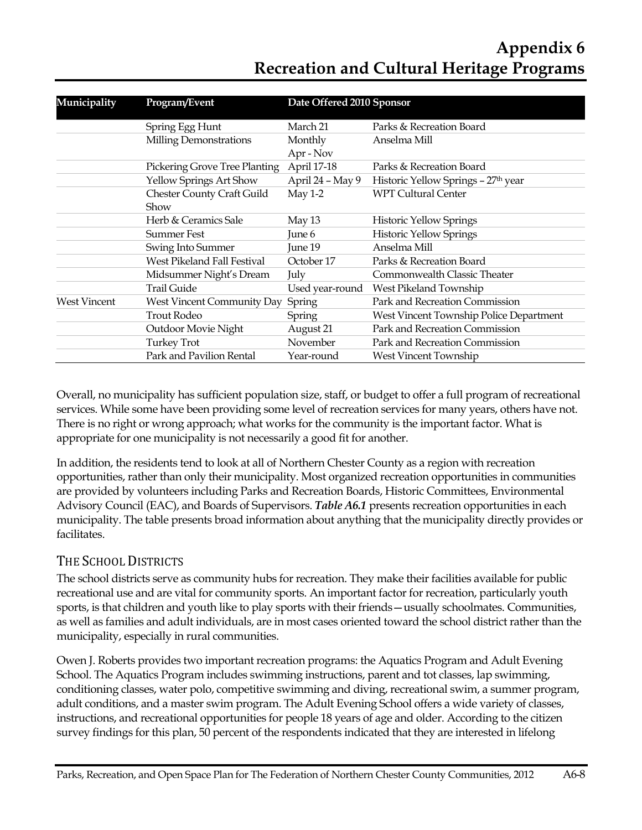| Municipality         | Program/Event                             | Date Offered 2010 Sponsor            |                                                 |  |
|----------------------|-------------------------------------------|--------------------------------------|-------------------------------------------------|--|
|                      | Spring Egg Hunt                           | March 21                             | Parks & Recreation Board                        |  |
|                      | Milling Demonstrations                    | Monthly<br>Apr - Nov                 | Anselma Mill                                    |  |
|                      | Pickering Grove Tree Planting             | April 17-18                          | Parks & Recreation Board                        |  |
|                      | Yellow Springs Art Show                   | April 24 - May 9                     | Historic Yellow Springs - 27 <sup>th</sup> year |  |
|                      | <b>Chester County Craft Guild</b><br>Show | May $1-2$                            | <b>WPT Cultural Center</b>                      |  |
| Herb & Ceramics Sale |                                           | May 13                               | <b>Historic Yellow Springs</b>                  |  |
|                      | <b>Summer Fest</b>                        |                                      | <b>Historic Yellow Springs</b>                  |  |
|                      | Swing Into Summer                         | June 19                              | Anselma Mill                                    |  |
|                      | West Pikeland Fall Festival               | October 17                           | Parks & Recreation Board                        |  |
|                      | Midsummer Night's Dream                   | Commonwealth Classic Theater<br>July |                                                 |  |
|                      | Trail Guide                               | Used year-round                      | West Pikeland Township                          |  |
| <b>West Vincent</b>  | <b>West Vincent Community Day</b>         | Spring                               | Park and Recreation Commission                  |  |
|                      | Trout Rodeo                               | Spring                               | West Vincent Township Police Department         |  |
|                      | Outdoor Movie Night                       | August 21                            | Park and Recreation Commission                  |  |
|                      | <b>Turkey Trot</b>                        | November                             | Park and Recreation Commission                  |  |
|                      | Park and Pavilion Rental                  | Year-round                           | West Vincent Township                           |  |

Overall, no municipality has sufficient population size, staff, or budget to offer a full program of recreational services. While some have been providing some level of recreation services for many years, others have not. There is no right or wrong approach; what works for the community is the important factor. What is appropriate for one municipality is not necessarily a good fit for another.

In addition, the residents tend to look at all of Northern Chester County as a region with recreation opportunities, rather than only their municipality. Most organized recreation opportunities in communities are provided by volunteers including Parks and Recreation Boards, Historic Committees, Environmental Advisory Council (EAC), and Boards of Supervisors. *Table A6.1* presents recreation opportunities in each municipality. The table presents broad information about anything that the municipality directly provides or facilitates.

#### THE SCHOOL DISTRICTS

The school districts serve as community hubs for recreation. They make their facilities available for public recreational use and are vital for community sports. An important factor for recreation, particularly youth sports, is that children and youth like to play sports with their friends—usually schoolmates. Communities, as well as families and adult individuals, are in most cases oriented toward the school district rather than the municipality, especially in rural communities.

Owen J. Roberts provides two important recreation programs: the Aquatics Program and Adult Evening School. The Aquatics Program includes swimming instructions, parent and tot classes, lap swimming, conditioning classes, water polo, competitive swimming and diving, recreational swim, a summer program, adult conditions, and a master swim program. The Adult Evening School offers a wide variety of classes, instructions, and recreational opportunities for people 18 years of age and older. According to the citizen survey findings for this plan, 50 percent of the respondents indicated that they are interested in lifelong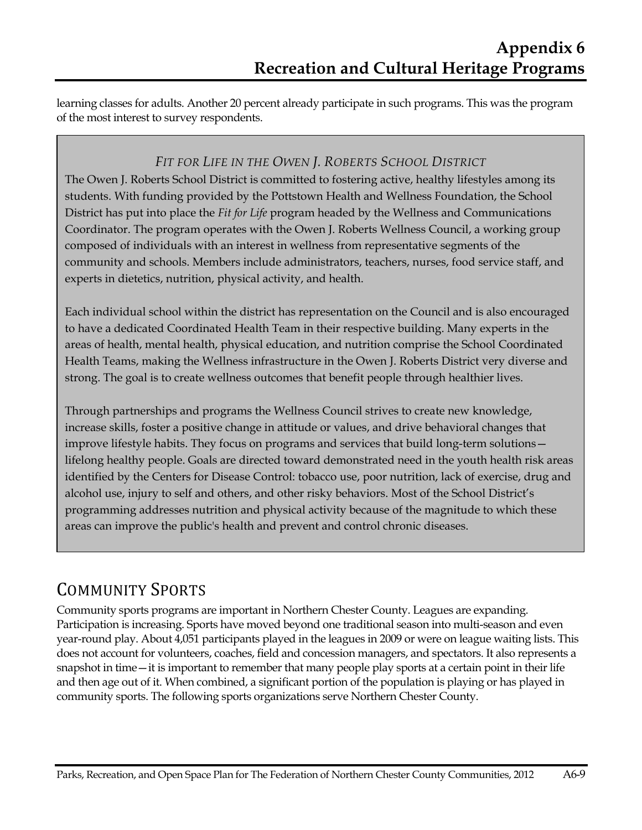learning classes for adults. Another 20 percent already participate in such programs. This was the program of the most interest to survey respondents.

#### *FIT FOR LIFE IN THE OWEN J. ROBERTS SCHOOL DISTRICT*

The Owen J. Roberts School District is committed to fostering active, healthy lifestyles among its students. With funding provided by the Pottstown Health and Wellness Foundation, the School District has put into place the *Fit for Life* program headed by the Wellness and Communications Coordinator. The program operates with the Owen J. Roberts Wellness Council, a working group composed of individuals with an interest in wellness from representative segments of the community and schools. Members include administrators, teachers, nurses, food service staff, and experts in dietetics, nutrition, physical activity, and health.

Each individual school within the district has representation on the Council and is also encouraged to have a dedicated Coordinated Health Team in their respective building. Many experts in the areas of health, mental health, physical education, and nutrition comprise the School Coordinated Health Teams, making the Wellness infrastructure in the Owen J. Roberts District very diverse and strong. The goal is to create wellness outcomes that benefit people through healthier lives.

Through partnerships and programs the Wellness Council strives to create new knowledge, increase skills, foster a positive change in attitude or values, and drive behavioral changes that improve lifestyle habits. They focus on programs and services that build long-term solutions lifelong healthy people. Goals are directed toward demonstrated need in the youth health risk areas identified by the Centers for Disease Control: tobacco use, poor nutrition, lack of exercise, drug and alcohol use, injury to self and others, and other risky behaviors. Most of the School District's programming addresses nutrition and physical activity because of the magnitude to which these areas can improve the public's health and prevent and control chronic diseases.

### COMMUNITY SPORTS

Community sports programs are important in Northern Chester County. Leagues are expanding. Participation is increasing. Sports have moved beyond one traditional season into multi-season and even year-round play. About 4,051 participants played in the leagues in 2009 or were on league waiting lists. This does not account for volunteers, coaches, field and concession managers, and spectators. It also represents a snapshot in time—it is important to remember that many people play sports at a certain point in their life and then age out of it. When combined, a significant portion of the population is playing or has played in community sports. The following sports organizations serve Northern Chester County.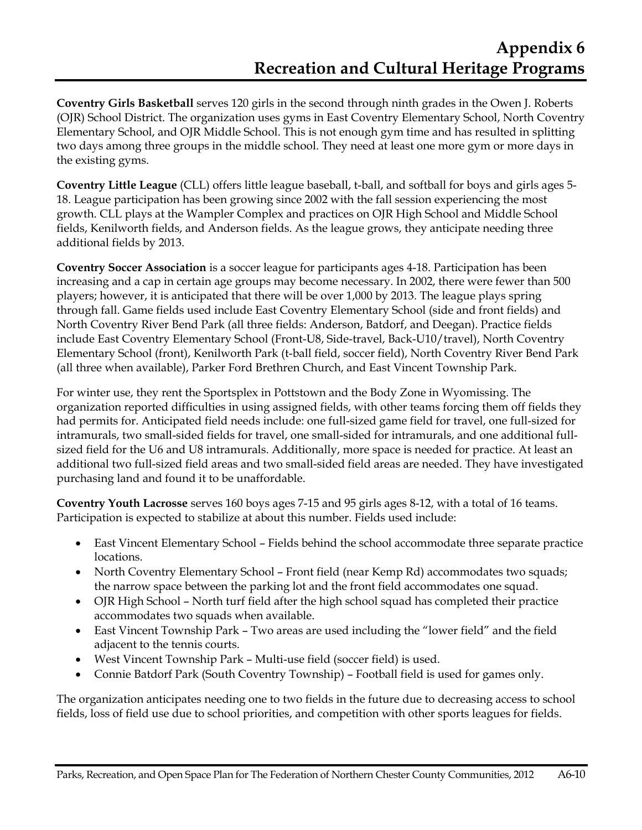**Coventry Girls Basketball** serves 120 girls in the second through ninth grades in the Owen J. Roberts (OJR) School District. The organization uses gyms in East Coventry Elementary School, North Coventry Elementary School, and OJR Middle School. This is not enough gym time and has resulted in splitting two days among three groups in the middle school. They need at least one more gym or more days in the existing gyms.

**Coventry Little League** (CLL) offers little league baseball, t-ball, and softball for boys and girls ages 5- 18. League participation has been growing since 2002 with the fall session experiencing the most growth. CLL plays at the Wampler Complex and practices on OJR High School and Middle School fields, Kenilworth fields, and Anderson fields. As the league grows, they anticipate needing three additional fields by 2013.

**Coventry Soccer Association** is a soccer league for participants ages 4-18. Participation has been increasing and a cap in certain age groups may become necessary. In 2002, there were fewer than 500 players; however, it is anticipated that there will be over 1,000 by 2013. The league plays spring through fall. Game fields used include East Coventry Elementary School (side and front fields) and North Coventry River Bend Park (all three fields: Anderson, Batdorf, and Deegan). Practice fields include East Coventry Elementary School (Front-U8, Side-travel, Back-U10/travel), North Coventry Elementary School (front), Kenilworth Park (t-ball field, soccer field), North Coventry River Bend Park (all three when available), Parker Ford Brethren Church, and East Vincent Township Park.

For winter use, they rent the Sportsplex in Pottstown and the Body Zone in Wyomissing. The organization reported difficulties in using assigned fields, with other teams forcing them off fields they had permits for. Anticipated field needs include: one full-sized game field for travel, one full-sized for intramurals, two small-sided fields for travel, one small-sided for intramurals, and one additional fullsized field for the U6 and U8 intramurals. Additionally, more space is needed for practice. At least an additional two full-sized field areas and two small-sided field areas are needed. They have investigated purchasing land and found it to be unaffordable.

**Coventry Youth Lacrosse** serves 160 boys ages 7-15 and 95 girls ages 8-12, with a total of 16 teams. Participation is expected to stabilize at about this number. Fields used include:

- East Vincent Elementary School Fields behind the school accommodate three separate practice locations.
- North Coventry Elementary School Front field (near Kemp Rd) accommodates two squads; the narrow space between the parking lot and the front field accommodates one squad.
- OJR High School North turf field after the high school squad has completed their practice accommodates two squads when available.
- East Vincent Township Park Two areas are used including the "lower field" and the field adjacent to the tennis courts.
- West Vincent Township Park Multi-use field (soccer field) is used.
- Connie Batdorf Park (South Coventry Township) Football field is used for games only.

The organization anticipates needing one to two fields in the future due to decreasing access to school fields, loss of field use due to school priorities, and competition with other sports leagues for fields.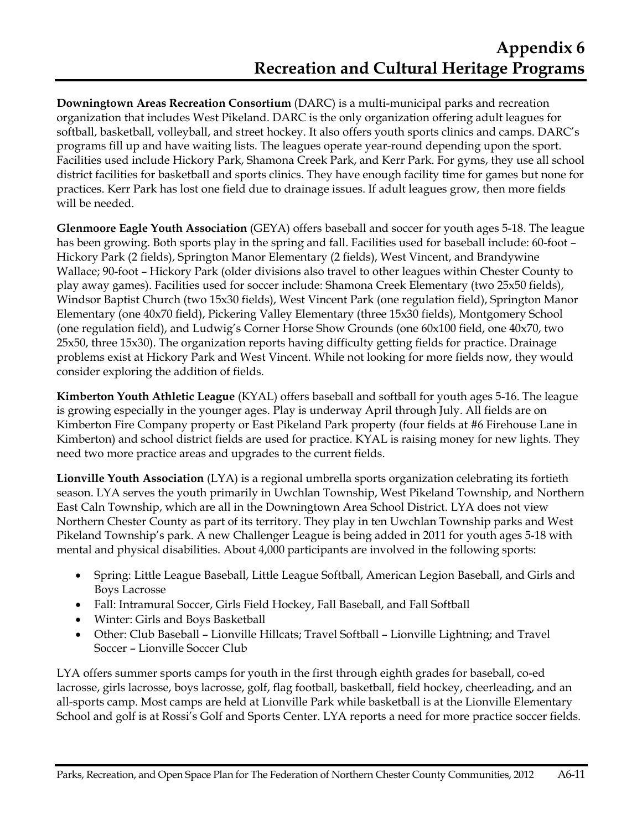**Downingtown Areas Recreation Consortium** (DARC) is a multi-municipal parks and recreation organization that includes West Pikeland. DARC is the only organization offering adult leagues for softball, basketball, volleyball, and street hockey. It also offers youth sports clinics and camps. DARC's programs fill up and have waiting lists. The leagues operate year-round depending upon the sport. Facilities used include Hickory Park, Shamona Creek Park, and Kerr Park. For gyms, they use all school district facilities for basketball and sports clinics. They have enough facility time for games but none for practices. Kerr Park has lost one field due to drainage issues. If adult leagues grow, then more fields will be needed.

**Glenmoore Eagle Youth Association** (GEYA) offers baseball and soccer for youth ages 5-18. The league has been growing. Both sports play in the spring and fall. Facilities used for baseball include: 60-foot – Hickory Park (2 fields), Springton Manor Elementary (2 fields), West Vincent, and Brandywine Wallace; 90-foot – Hickory Park (older divisions also travel to other leagues within Chester County to play away games). Facilities used for soccer include: Shamona Creek Elementary (two 25x50 fields), Windsor Baptist Church (two 15x30 fields), West Vincent Park (one regulation field), Springton Manor Elementary (one 40x70 field), Pickering Valley Elementary (three 15x30 fields), Montgomery School (one regulation field), and Ludwig's Corner Horse Show Grounds (one 60x100 field, one 40x70, two 25x50, three 15x30). The organization reports having difficulty getting fields for practice. Drainage problems exist at Hickory Park and West Vincent. While not looking for more fields now, they would consider exploring the addition of fields.

**Kimberton Youth Athletic League** (KYAL) offers baseball and softball for youth ages 5-16. The league is growing especially in the younger ages. Play is underway April through July. All fields are on Kimberton Fire Company property or East Pikeland Park property (four fields at #6 Firehouse Lane in Kimberton) and school district fields are used for practice. KYAL is raising money for new lights. They need two more practice areas and upgrades to the current fields.

**Lionville Youth Association** (LYA) is a regional umbrella sports organization celebrating its fortieth season. LYA serves the youth primarily in Uwchlan Township, West Pikeland Township, and Northern East Caln Township, which are all in the Downingtown Area School District. LYA does not view Northern Chester County as part of its territory. They play in ten Uwchlan Township parks and West Pikeland Township's park. A new Challenger League is being added in 2011 for youth ages 5-18 with mental and physical disabilities. About 4,000 participants are involved in the following sports:

- Spring: Little League Baseball, Little League Softball, American Legion Baseball, and Girls and Boys Lacrosse
- Fall: Intramural Soccer, Girls Field Hockey, Fall Baseball, and Fall Softball
- Winter: Girls and Boys Basketball
- Other: Club Baseball Lionville Hillcats; Travel Softball Lionville Lightning; and Travel Soccer – Lionville Soccer Club

LYA offers summer sports camps for youth in the first through eighth grades for baseball, co-ed lacrosse, girls lacrosse, boys lacrosse, golf, flag football, basketball, field hockey, cheerleading, and an all-sports camp. Most camps are held at Lionville Park while basketball is at the Lionville Elementary School and golf is at Rossi's Golf and Sports Center. LYA reports a need for more practice soccer fields.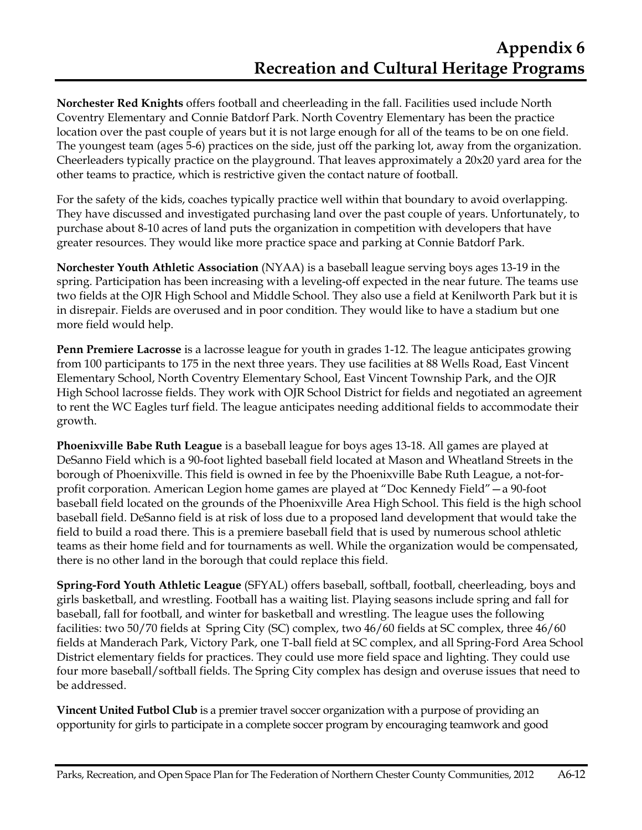**Norchester Red Knights** offers football and cheerleading in the fall. Facilities used include North Coventry Elementary and Connie Batdorf Park. North Coventry Elementary has been the practice location over the past couple of years but it is not large enough for all of the teams to be on one field. The youngest team (ages 5-6) practices on the side, just off the parking lot, away from the organization. Cheerleaders typically practice on the playground. That leaves approximately a 20x20 yard area for the other teams to practice, which is restrictive given the contact nature of football.

For the safety of the kids, coaches typically practice well within that boundary to avoid overlapping. They have discussed and investigated purchasing land over the past couple of years. Unfortunately, to purchase about 8-10 acres of land puts the organization in competition with developers that have greater resources. They would like more practice space and parking at Connie Batdorf Park.

**Norchester Youth Athletic Association** (NYAA) is a baseball league serving boys ages 13-19 in the spring. Participation has been increasing with a leveling-off expected in the near future. The teams use two fields at the OJR High School and Middle School. They also use a field at Kenilworth Park but it is in disrepair. Fields are overused and in poor condition. They would like to have a stadium but one more field would help.

**Penn Premiere Lacrosse** is a lacrosse league for youth in grades 1-12. The league anticipates growing from 100 participants to 175 in the next three years. They use facilities at 88 Wells Road, East Vincent Elementary School, North Coventry Elementary School, East Vincent Township Park, and the OJR High School lacrosse fields. They work with OJR School District for fields and negotiated an agreement to rent the WC Eagles turf field. The league anticipates needing additional fields to accommodate their growth.

**Phoenixville Babe Ruth League** is a baseball league for boys ages 13-18. All games are played at DeSanno Field which is a 90-foot lighted baseball field located at Mason and Wheatland Streets in the borough of Phoenixville. This field is owned in fee by the Phoenixville Babe Ruth League, a not-forprofit corporation. American Legion home games are played at "Doc Kennedy Field"—a 90-foot baseball field located on the grounds of the Phoenixville Area High School. This field is the high school baseball field. DeSanno field is at risk of loss due to a proposed land development that would take the field to build a road there. This is a premiere baseball field that is used by numerous school athletic teams as their home field and for tournaments as well. While the organization would be compensated, there is no other land in the borough that could replace this field.

**Spring-Ford Youth Athletic League** (SFYAL) offers baseball, softball, football, cheerleading, boys and girls basketball, and wrestling. Football has a waiting list. Playing seasons include spring and fall for baseball, fall for football, and winter for basketball and wrestling. The league uses the following facilities: two 50/70 fields at Spring City (SC) complex, two 46/60 fields at SC complex, three 46/60 fields at Manderach Park, Victory Park, one T-ball field at SC complex, and all Spring-Ford Area School District elementary fields for practices. They could use more field space and lighting. They could use four more baseball/softball fields. The Spring City complex has design and overuse issues that need to be addressed.

**Vincent United Futbol Club** is a premier travel soccer organization with a purpose of providing an opportunity for girls to participate in a complete soccer program by encouraging teamwork and good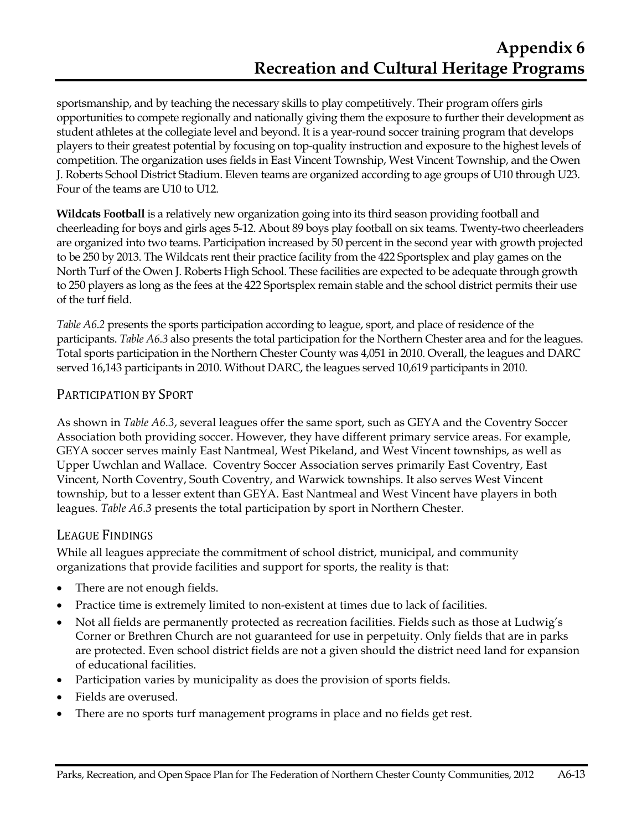sportsmanship, and by teaching the necessary skills to play competitively. Their program offers girls opportunities to compete regionally and nationally giving them the exposure to further their development as student athletes at the collegiate level and beyond. It is a year-round soccer training program that develops players to their greatest potential by focusing on top-quality instruction and exposure to the highest levels of competition. The organization uses fields in East Vincent Township, West Vincent Township, and the Owen J. Roberts School District Stadium. Eleven teams are organized according to age groups of U10 through U23. Four of the teams are U10 to U12.

**Wildcats Football** is a relatively new organization going into its third season providing football and cheerleading for boys and girls ages 5-12. About 89 boys play football on six teams. Twenty-two cheerleaders are organized into two teams. Participation increased by 50 percent in the second year with growth projected to be 250 by 2013. The Wildcats rent their practice facility from the 422 Sportsplex and play games on the North Turf of the Owen J. Roberts High School. These facilities are expected to be adequate through growth to 250 players as long as the fees at the 422 Sportsplex remain stable and the school district permits their use of the turf field.

*Table A6.2* presents the sports participation according to league, sport, and place of residence of the participants. *Table A6.3* also presents the total participation for the Northern Chester area and for the leagues. Total sports participation in the Northern Chester County was 4,051 in 2010. Overall, the leagues and DARC served 16,143 participants in 2010. Without DARC, the leagues served 10,619 participants in 2010.

#### PARTICIPATION BY SPORT

As shown in *Table A6.3*, several leagues offer the same sport, such as GEYA and the Coventry Soccer Association both providing soccer. However, they have different primary service areas. For example, GEYA soccer serves mainly East Nantmeal, West Pikeland, and West Vincent townships, as well as Upper Uwchlan and Wallace. Coventry Soccer Association serves primarily East Coventry, East Vincent, North Coventry, South Coventry, and Warwick townships. It also serves West Vincent township, but to a lesser extent than GEYA. East Nantmeal and West Vincent have players in both leagues. *Table A6.3* presents the total participation by sport in Northern Chester.

#### LEAGUE FINDINGS

While all leagues appreciate the commitment of school district, municipal, and community organizations that provide facilities and support for sports, the reality is that:

- There are not enough fields.
- Practice time is extremely limited to non-existent at times due to lack of facilities.
- Not all fields are permanently protected as recreation facilities. Fields such as those at Ludwig's Corner or Brethren Church are not guaranteed for use in perpetuity. Only fields that are in parks are protected. Even school district fields are not a given should the district need land for expansion of educational facilities.
- Participation varies by municipality as does the provision of sports fields.
- Fields are overused.
- There are no sports turf management programs in place and no fields get rest.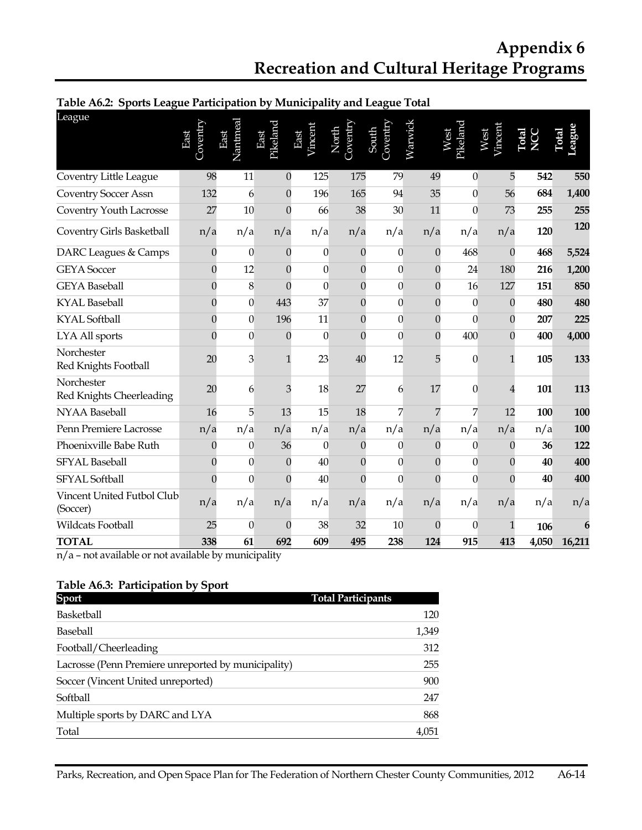### **Appendix 6 Recreation and Cultural Heritage Programs**

| Table A0.2. Sports League Farticipation by Municipality and League Total |                  |                  |                  |                 |                          |                   |                |                  |                 |       |              |
|--------------------------------------------------------------------------|------------------|------------------|------------------|-----------------|--------------------------|-------------------|----------------|------------------|-----------------|-------|--------------|
| League                                                                   | Coventry<br>East | Nantmeal<br>East | Pikeland<br>East | Vincent<br>East | Coveniry<br><b>North</b> | Coventry<br>South | Warwick        | Pikeland<br>West | Vincent<br>West | Total | <b>Lotal</b> |
| Coventry Little League                                                   | 98               | 11               | $\theta$         | 125             | 175                      | 79                | 49             | $\mathbf{0}$     | 5               | 542   | 550          |
| <b>Coventry Soccer Assn</b>                                              | 132              | 6                | $\overline{0}$   | 196             | 165                      | 94                | 35             | $\overline{0}$   | 56              | 684   | 1,400        |
| Coventry Youth Lacrosse                                                  | 27               | 10               | $\overline{0}$   | 66              | 38                       | 30                | 11             | $\mathbf{0}$     | 73              | 255   | 255          |
| Coventry Girls Basketball                                                | n/a              | n/a              | n/a              | n/a             | n/a                      | n/a               | n/a            | n/a              | n/a             | 120   | 120          |
| DARC Leagues & Camps                                                     | $\Omega$         | $\theta$         | $\mathbf{0}$     | $\theta$        | $\theta$                 | $\mathbf{0}$      | $\theta$       | 468              | $\theta$        | 468   | 5,524        |
| <b>GEYA</b> Soccer                                                       | $\Omega$         | 12               | $\mathbf{0}$     | $\theta$        | $\mathbf{0}$             | $\Omega$          | $\overline{0}$ | 24               | 180             | 216   | 1,200        |
| <b>GEYA</b> Baseball                                                     | $\Omega$         | 8                | $\overline{0}$   | $\theta$        | $\overline{0}$           | $\mathbf{0}$      | $\mathbf{0}$   | 16               | 127             | 151   | 850          |
| <b>KYAL</b> Baseball                                                     | $\Omega$         | $\overline{0}$   | 443              | 37              | $\overline{0}$           | $\Omega$          | $\overline{0}$ | $\theta$         | $\Omega$        | 480   | 480          |
| <b>KYAL</b> Softball                                                     | $\Omega$         | $\overline{0}$   | 196              | 11              | $\mathbf{0}$             | $\overline{0}$    | $\overline{0}$ | $\theta$         | $\theta$        | 207   | 225          |
| LYA All sports                                                           | $\Omega$         | $\overline{0}$   | $\mathbf{0}$     | $\theta$        | $\overline{0}$           | $\overline{0}$    | $\overline{0}$ | 400              | $\Omega$        | 400   | 4,000        |
| Norchester<br>Red Knights Football                                       | 20               | 3                | $\mathbf{1}$     | 23              | 40                       | 12                | 5              | $\mathbf{0}$     | $\mathbf{1}$    | 105   | 133          |
| Norchester<br>Red Knights Cheerleading                                   | 20               | 6                | 3                | 18              | 27                       | 6                 | 17             | $\theta$         | 4               | 101   | 113          |
| NYAA Baseball                                                            | 16               | 5                | 13               | 15              | 18                       | 7                 | 7              | 7                | 12              | 100   | 100          |
| Penn Premiere Lacrosse                                                   | n/a              | n/a              | n/a              | n/a             | n/a                      | n/a               | n/a            | n/a              | n/a             | n/a   | 100          |
| Phoenixville Babe Ruth                                                   | $\Omega$         | $\Omega$         | 36               | $\Omega$        | $\theta$                 | $\Omega$          | $\theta$       | $\Omega$         | 0               | 36    | 122          |
| <b>SFYAL Baseball</b>                                                    | $\Omega$         | $\overline{0}$   | $\mathbf{0}$     | 40              | $\mathbf{0}$             | $\mathbf{0}$      | $\overline{0}$ | $\mathbf{0}$     | $\Omega$        | 40    | 400          |
| <b>SFYAL Softball</b>                                                    | $\Omega$         | $\overline{0}$   | $\overline{0}$   | 40              | $\overline{0}$           | $\overline{0}$    | $\overline{0}$ | $\theta$         | $\Omega$        | 40    | 400          |
| Vincent United Futbol Club<br>(Soccer)                                   | n/a              | n/a              | n/a              | n/a             | n/a                      | n/a               | n/a            | n/a              | n/a             | n/a   | n/a          |
| Wildcats Football                                                        | 25               | $\theta$         | $\Omega$         | 38              | 32                       | 10                | $\Omega$       | $\theta$         | $\mathbf{1}$    | 106   | 6            |
| <b>TOTAL</b>                                                             | 338              | 61               | 692              | 609             | 495                      | 238               | 124            | 915              | 413             | 4,050 | 16,211       |

#### **Table A6.2: Sports League Participation by Municipality and League Total**

 $\overline{n/a}$  – not available or not available by municipality

#### **Table A6.3: Participation by Sport**

| Sport                                               | <b>Total Participants</b> |
|-----------------------------------------------------|---------------------------|
| Basketball                                          | 120                       |
| Baseball                                            | 1,349                     |
| Football/Cheerleading                               | 312                       |
| Lacrosse (Penn Premiere unreported by municipality) | 255                       |
| Soccer (Vincent United unreported)                  | 900                       |
| Softball                                            | 247                       |
| Multiple sports by DARC and LYA                     | 868                       |
| Total                                               | 4,051                     |

Parks, Recreation, and Open Space Plan for The Federation of Northern Chester County Communities, 2012 A6-14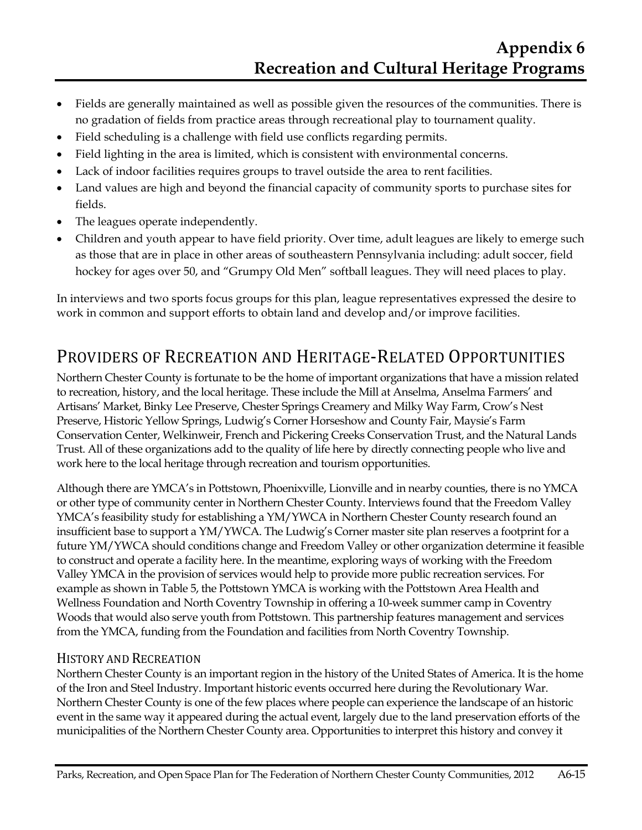- Fields are generally maintained as well as possible given the resources of the communities. There is no gradation of fields from practice areas through recreational play to tournament quality.
- Field scheduling is a challenge with field use conflicts regarding permits.
- Field lighting in the area is limited, which is consistent with environmental concerns.
- Lack of indoor facilities requires groups to travel outside the area to rent facilities.
- Land values are high and beyond the financial capacity of community sports to purchase sites for fields.
- The leagues operate independently.
- Children and youth appear to have field priority. Over time, adult leagues are likely to emerge such as those that are in place in other areas of southeastern Pennsylvania including: adult soccer, field hockey for ages over 50, and "Grumpy Old Men" softball leagues. They will need places to play.

In interviews and two sports focus groups for this plan, league representatives expressed the desire to work in common and support efforts to obtain land and develop and/or improve facilities.

### PROVIDERS OF RECREATION AND HERITAGE‐RELATED OPPORTUNITIES

Northern Chester County is fortunate to be the home of important organizations that have a mission related to recreation, history, and the local heritage. These include the Mill at Anselma, Anselma Farmers' and Artisans' Market, Binky Lee Preserve, Chester Springs Creamery and Milky Way Farm, Crow's Nest Preserve, Historic Yellow Springs, Ludwig's Corner Horseshow and County Fair, Maysie's Farm Conservation Center, Welkinweir, French and Pickering Creeks Conservation Trust, and the Natural Lands Trust. All of these organizations add to the quality of life here by directly connecting people who live and work here to the local heritage through recreation and tourism opportunities.

Although there are YMCA's in Pottstown, Phoenixville, Lionville and in nearby counties, there is no YMCA or other type of community center in Northern Chester County. Interviews found that the Freedom Valley YMCA's feasibility study for establishing a YM/YWCA in Northern Chester County research found an insufficient base to support a YM/YWCA. The Ludwig's Corner master site plan reserves a footprint for a future YM/YWCA should conditions change and Freedom Valley or other organization determine it feasible to construct and operate a facility here. In the meantime, exploring ways of working with the Freedom Valley YMCA in the provision of services would help to provide more public recreation services. For example as shown in Table 5, the Pottstown YMCA is working with the Pottstown Area Health and Wellness Foundation and North Coventry Township in offering a 10-week summer camp in Coventry Woods that would also serve youth from Pottstown. This partnership features management and services from the YMCA, funding from the Foundation and facilities from North Coventry Township.

#### HISTORY AND RECREATION

Northern Chester County is an important region in the history of the United States of America. It is the home of the Iron and Steel Industry. Important historic events occurred here during the Revolutionary War. Northern Chester County is one of the few places where people can experience the landscape of an historic event in the same way it appeared during the actual event, largely due to the land preservation efforts of the municipalities of the Northern Chester County area. Opportunities to interpret this history and convey it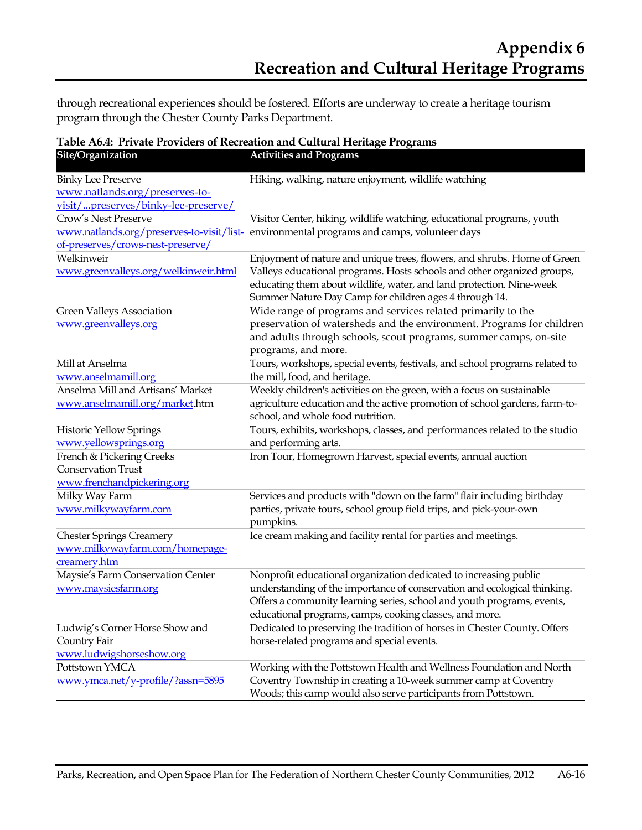through recreational experiences should be fostered. Efforts are underway to create a heritage tourism program through the Chester County Parks Department.

| Site/Organization                         | <b>Activities and Programs</b>                                              |
|-------------------------------------------|-----------------------------------------------------------------------------|
| <b>Binky Lee Preserve</b>                 | Hiking, walking, nature enjoyment, wildlife watching                        |
| www.natlands.org/preserves-to-            |                                                                             |
| visit/preserves/binky-lee-preserve/       |                                                                             |
| Crow's Nest Preserve                      | Visitor Center, hiking, wildlife watching, educational programs, youth      |
| www.natlands.org/preserves-to-visit/list- | environmental programs and camps, volunteer days                            |
| of-preserves/crows-nest-preserve/         |                                                                             |
| Welkinweir                                | Enjoyment of nature and unique trees, flowers, and shrubs. Home of Green    |
| www.greenvalleys.org/welkinweir.html      | Valleys educational programs. Hosts schools and other organized groups,     |
|                                           | educating them about wildlife, water, and land protection. Nine-week        |
|                                           | Summer Nature Day Camp for children ages 4 through 14.                      |
| Green Valleys Association                 | Wide range of programs and services related primarily to the                |
| www.greenvalleys.org                      | preservation of watersheds and the environment. Programs for children       |
|                                           | and adults through schools, scout programs, summer camps, on-site           |
|                                           | programs, and more.                                                         |
| Mill at Anselma                           | Tours, workshops, special events, festivals, and school programs related to |
| www.anselmamill.org                       | the mill, food, and heritage.                                               |
| Anselma Mill and Artisans' Market         | Weekly children's activities on the green, with a focus on sustainable      |
| www.anselmamill.org/market.htm            | agriculture education and the active promotion of school gardens, farm-to-  |
|                                           | school, and whole food nutrition.                                           |
| <b>Historic Yellow Springs</b>            | Tours, exhibits, workshops, classes, and performances related to the studio |
| www.yellowsprings.org                     | and performing arts.                                                        |
| French & Pickering Creeks                 | Iron Tour, Homegrown Harvest, special events, annual auction                |
| <b>Conservation Trust</b>                 |                                                                             |
| www.frenchandpickering.org                |                                                                             |
| Milky Way Farm                            | Services and products with "down on the farm" flair including birthday      |
| www.milkywayfarm.com                      | parties, private tours, school group field trips, and pick-your-own         |
|                                           | pumpkins.                                                                   |
| <b>Chester Springs Creamery</b>           | Ice cream making and facility rental for parties and meetings.              |
| www.milkywayfarm.com/homepage-            |                                                                             |
| creamery.htm                              |                                                                             |
| Maysie's Farm Conservation Center         | Nonprofit educational organization dedicated to increasing public           |
| www.maysiesfarm.org                       | understanding of the importance of conservation and ecological thinking.    |
|                                           | Offers a community learning series, school and youth programs, events,      |
|                                           | educational programs, camps, cooking classes, and more.                     |
| Ludwig's Corner Horse Show and            | Dedicated to preserving the tradition of horses in Chester County. Offers   |
| Country Fair                              | horse-related programs and special events.                                  |
| www.ludwigshorseshow.org                  |                                                                             |
| Pottstown YMCA                            | Working with the Pottstown Health and Wellness Foundation and North         |
| www.ymca.net/y-profile/?assn=5895         | Coventry Township in creating a 10-week summer camp at Coventry             |
|                                           | Woods; this camp would also serve participants from Pottstown.              |

# **Table A6.4: Private Providers of Recreation and Cultural Heritage Programs**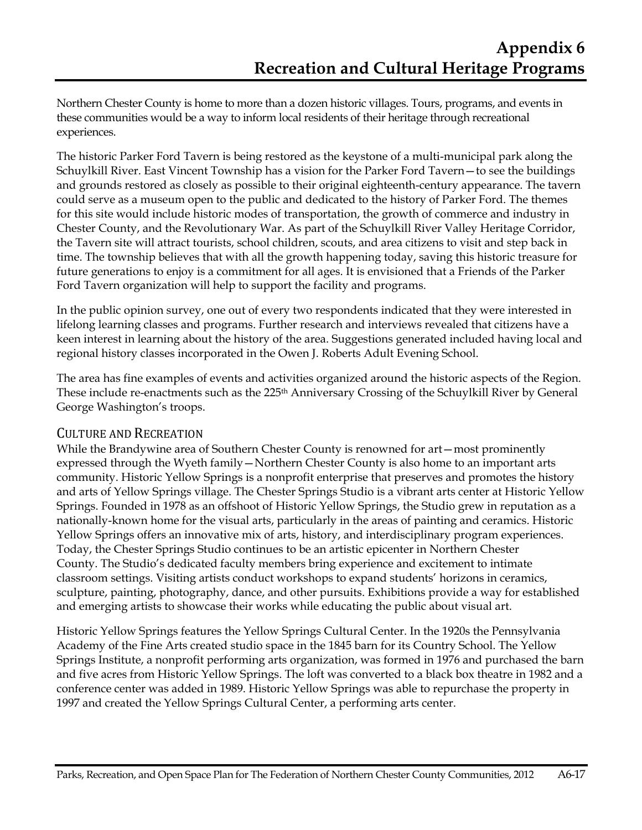Northern Chester County is home to more than a dozen historic villages. Tours, programs, and events in these communities would be a way to inform local residents of their heritage through recreational experiences.

The historic Parker Ford Tavern is being restored as the keystone of a multi-municipal park along the Schuylkill River. East Vincent Township has a vision for the Parker Ford Tavern—to see the buildings and grounds restored as closely as possible to their original eighteenth-century appearance. The tavern could serve as a museum open to the public and dedicated to the history of Parker Ford. The themes for this site would include historic modes of transportation, the growth of commerce and industry in Chester County, and the Revolutionary War. As part of the Schuylkill River Valley Heritage Corridor, the Tavern site will attract tourists, school children, scouts, and area citizens to visit and step back in time. The township believes that with all the growth happening today, saving this historic treasure for future generations to enjoy is a commitment for all ages. It is envisioned that a Friends of the Parker Ford Tavern organization will help to support the facility and programs.

In the public opinion survey, one out of every two respondents indicated that they were interested in lifelong learning classes and programs. Further research and interviews revealed that citizens have a keen interest in learning about the history of the area. Suggestions generated included having local and regional history classes incorporated in the Owen J. Roberts Adult Evening School.

The area has fine examples of events and activities organized around the historic aspects of the Region. These include re-enactments such as the 225th Anniversary Crossing of the Schuylkill River by General George Washington's troops.

#### CULTURE AND RECREATION

While the Brandywine area of Southern Chester County is renowned for art – most prominently expressed through the Wyeth family—Northern Chester County is also home to an important arts community. Historic Yellow Springs is a nonprofit enterprise that preserves and promotes the history and arts of Yellow Springs village. The Chester Springs Studio is a vibrant arts center at Historic Yellow Springs. Founded in 1978 as an offshoot of Historic Yellow Springs, the Studio grew in reputation as a nationally-known home for the visual arts, particularly in the areas of painting and ceramics. Historic Yellow Springs offers an innovative mix of arts, history, and interdisciplinary program experiences. Today, the Chester Springs Studio continues to be an artistic epicenter in Northern Chester County. The Studio's dedicated faculty members bring experience and excitement to intimate classroom settings. Visiting artists conduct workshops to expand students' horizons in ceramics, sculpture, painting, photography, dance, and other pursuits. Exhibitions provide a way for established and emerging artists to showcase their works while educating the public about visual art.

Historic Yellow Springs features the Yellow Springs Cultural Center. In the 1920s the Pennsylvania Academy of the Fine Arts created studio space in the 1845 barn for its Country School. The Yellow Springs Institute, a nonprofit performing arts organization, was formed in 1976 and purchased the barn and five acres from Historic Yellow Springs. The loft was converted to a black box theatre in 1982 and a conference center was added in 1989. Historic Yellow Springs was able to repurchase the property in 1997 and created the Yellow Springs Cultural Center, a performing arts center.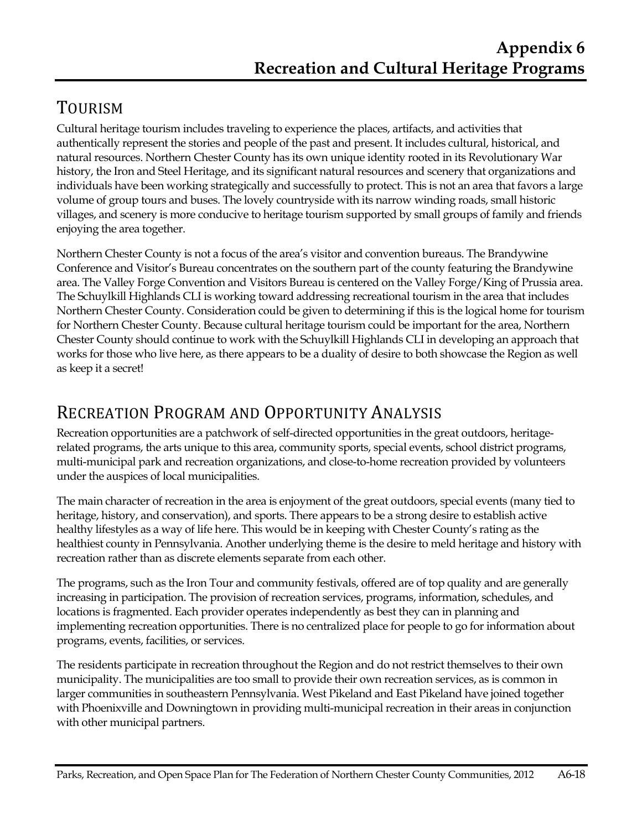## TOURISM

Cultural heritage tourism includes traveling to experience the places, artifacts, and activities that authentically represent the stories and people of the past and present. It includes cultural, historical, and natural resources. Northern Chester County has its own unique identity rooted in its Revolutionary War history, the Iron and Steel Heritage, and its significant natural resources and scenery that organizations and individuals have been working strategically and successfully to protect. This is not an area that favors a large volume of group tours and buses. The lovely countryside with its narrow winding roads, small historic villages, and scenery is more conducive to heritage tourism supported by small groups of family and friends enjoying the area together.

Northern Chester County is not a focus of the area's visitor and convention bureaus. The Brandywine Conference and Visitor's Bureau concentrates on the southern part of the county featuring the Brandywine area. The Valley Forge Convention and Visitors Bureau is centered on the Valley Forge/King of Prussia area. The Schuylkill Highlands CLI is working toward addressing recreational tourism in the area that includes Northern Chester County. Consideration could be given to determining if this is the logical home for tourism for Northern Chester County. Because cultural heritage tourism could be important for the area, Northern Chester County should continue to work with the Schuylkill Highlands CLI in developing an approach that works for those who live here, as there appears to be a duality of desire to both showcase the Region as well as keep it a secret!

### RECREATION PROGRAM AND OPPORTUNITY ANALYSIS

Recreation opportunities are a patchwork of self-directed opportunities in the great outdoors, heritagerelated programs, the arts unique to this area, community sports, special events, school district programs, multi-municipal park and recreation organizations, and close-to-home recreation provided by volunteers under the auspices of local municipalities.

The main character of recreation in the area is enjoyment of the great outdoors, special events (many tied to heritage, history, and conservation), and sports. There appears to be a strong desire to establish active healthy lifestyles as a way of life here. This would be in keeping with Chester County's rating as the healthiest county in Pennsylvania. Another underlying theme is the desire to meld heritage and history with recreation rather than as discrete elements separate from each other.

The programs, such as the Iron Tour and community festivals, offered are of top quality and are generally increasing in participation. The provision of recreation services, programs, information, schedules, and locations is fragmented. Each provider operates independently as best they can in planning and implementing recreation opportunities. There is no centralized place for people to go for information about programs, events, facilities, or services.

The residents participate in recreation throughout the Region and do not restrict themselves to their own municipality. The municipalities are too small to provide their own recreation services, as is common in larger communities in southeastern Pennsylvania. West Pikeland and East Pikeland have joined together with Phoenixville and Downingtown in providing multi-municipal recreation in their areas in conjunction with other municipal partners.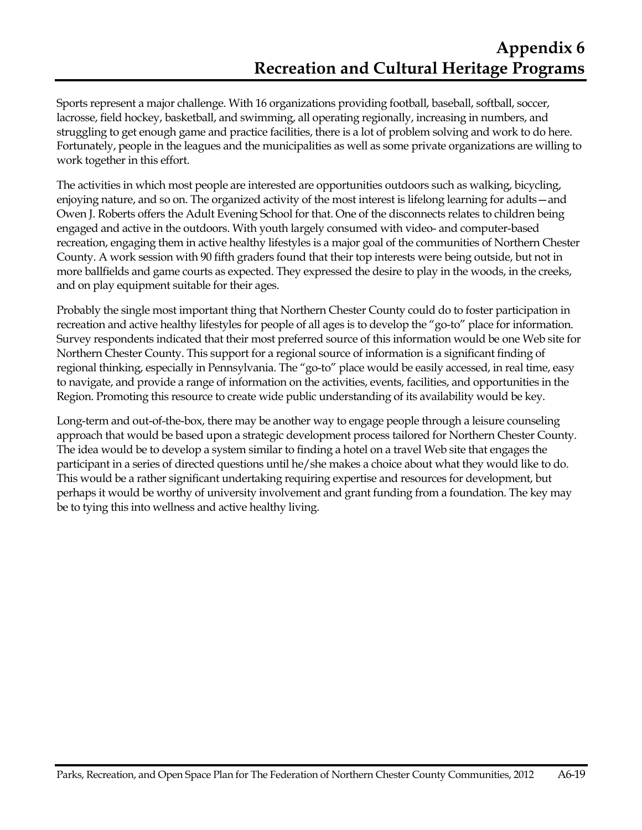Sports represent a major challenge. With 16 organizations providing football, baseball, softball, soccer, lacrosse, field hockey, basketball, and swimming, all operating regionally, increasing in numbers, and struggling to get enough game and practice facilities, there is a lot of problem solving and work to do here. Fortunately, people in the leagues and the municipalities as well as some private organizations are willing to work together in this effort.

The activities in which most people are interested are opportunities outdoors such as walking, bicycling, enjoying nature, and so on. The organized activity of the most interest is lifelong learning for adults—and Owen J. Roberts offers the Adult Evening School for that. One of the disconnects relates to children being engaged and active in the outdoors. With youth largely consumed with video- and computer-based recreation, engaging them in active healthy lifestyles is a major goal of the communities of Northern Chester County. A work session with 90 fifth graders found that their top interests were being outside, but not in more ballfields and game courts as expected. They expressed the desire to play in the woods, in the creeks, and on play equipment suitable for their ages.

Probably the single most important thing that Northern Chester County could do to foster participation in recreation and active healthy lifestyles for people of all ages is to develop the "go-to" place for information. Survey respondents indicated that their most preferred source of this information would be one Web site for Northern Chester County. This support for a regional source of information is a significant finding of regional thinking, especially in Pennsylvania. The "go-to" place would be easily accessed, in real time, easy to navigate, and provide a range of information on the activities, events, facilities, and opportunities in the Region. Promoting this resource to create wide public understanding of its availability would be key.

Long-term and out-of-the-box, there may be another way to engage people through a leisure counseling approach that would be based upon a strategic development process tailored for Northern Chester County. The idea would be to develop a system similar to finding a hotel on a travel Web site that engages the participant in a series of directed questions until he/she makes a choice about what they would like to do. This would be a rather significant undertaking requiring expertise and resources for development, but perhaps it would be worthy of university involvement and grant funding from a foundation. The key may be to tying this into wellness and active healthy living.